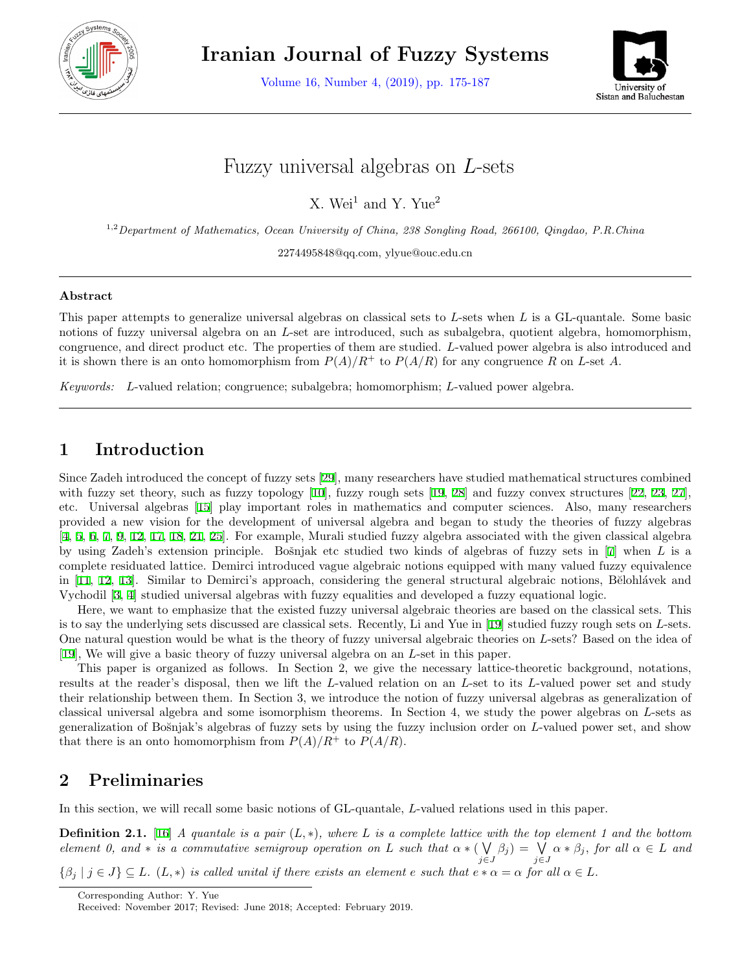

**Iranian Journal of Fuzzy Systems**

Volume 16, Number 4, (2019), pp. 175-187



# Fuzzy universal algebras on *L*-sets

X. Wei<sup>1</sup> and Y. Yue<sup>2</sup>

1,2*Department of Mathematics, Ocean University of China, 238 Songling Road, 266100, Qingdao, P.R.China*

2274495848@qq.com, ylyue@ouc.edu.cn

#### **Abstract**

This paper attempts to generalize universal algebras on classical sets to *L*-sets when *L* is a GL-quantale. Some basic notions of fuzzy universal algebra on an *L*-set are introduced, such as subalgebra, quotient algebra, homomorphism, congruence, and direct product etc. The properties of them are studied. *L*-valued power algebra is also introduced and it is shown there is an onto homomorphism from  $P(A)/R^+$  to  $P(A/R)$  for any congruence R on L-set A.

*Keywords: L*-valued relation; congruence; subalgebra; homomorphism; *L*-valued power algebra.

# **1 Introduction**

Since Zadeh introduced the concept of fuzzy sets [[29\]](#page-12-0), many researchers have studied mathematical structures combined with fuzzy set theory, such as fuzzy topology [[10\]](#page-11-0), fuzzy rough sets [\[19](#page-12-1), [28\]](#page-12-2) and fuzzy convex structures [[22](#page-12-3), [23,](#page-12-4) [27](#page-12-5)], etc. Universal algebras [\[15](#page-11-1)] play important roles in mathematics and computer sciences. Also, many researchers provided a new vision for the development of universal algebra and began to study the theories of fuzzy algebras [[4,](#page-11-2) [5](#page-11-3), [6](#page-11-4), [7](#page-11-5), [9,](#page-11-6) [12,](#page-11-7) [17,](#page-11-8) [18](#page-11-9), [21](#page-12-6), [25](#page-12-7)]. For example, Murali studied fuzzy algebra associated with the given classical algebra by using Zadeh's extension principle. Bošnjak etc studied two kinds of algebras of fuzzy sets in [[7\]](#page-11-5) when *L* is a complete residuated lattice. Demirci introduced vague algebraic notions equipped with many valued fuzzy equivalence in [[11,](#page-11-10) [12,](#page-11-7) [13\]](#page-11-11). Similar to Demirci's approach, considering the general structural algebraic notions, Bělohlávek and Vychodil [[3](#page-11-12), [4](#page-11-2)] studied universal algebras with fuzzy equalities and developed a fuzzy equational logic.

Here, we want to emphasize that the existed fuzzy universal algebraic theories are based on the classical sets. This is to say the underlying sets discussed are classical sets. Recently, Li and Yue in [[19\]](#page-12-1) studied fuzzy rough sets on *L*-sets. One natural question would be what is the theory of fuzzy universal algebraic theories on *L*-sets? Based on the idea of [[19\]](#page-12-1), We will give a basic theory of fuzzy universal algebra on an *L*-set in this paper.

This paper is organized as follows. In Section 2, we give the necessary lattice-theoretic background, notations, results at the reader's disposal, then we lift the *L*-valued relation on an *L*-set to its *L*-valued power set and study their relationship between them. In Section 3, we introduce the notion of fuzzy universal algebras as generalization of classical universal algebra and some isomorphism theorems. In Section 4, we study the power algebras on *L*-sets as generalization of Bošnjak's algebras of fuzzy sets by using the fuzzy inclusion order on *L*-valued power set, and show that there is an onto homomorphism from  $P(A)/R^+$  to  $P(A/R)$ .

## **2 Preliminaries**

In this section, we will recall some basic notions of GL-quantale, *L*-valued relations used in this paper.

**Definition 2.1.** [[16\]](#page-11-13) *A quantale is a pair* (*L, ∗*)*, where L is a complete lattice with the top element 1 and the bottom element* 0, and  $*$  *is a commutative semigroup operation on L such that*  $\alpha * ( \nabla$ *j∈J*  $\beta_j$ ) =  $\sqrt{ }$ *j∈J*  $\alpha * \beta_j$ , *for all*  $\alpha \in L$  *and* 

 $\{\beta_i \mid j \in J\} \subseteq L$ .  $(L, *)$  is called unital if there exists an element e such that  $e * \alpha = \alpha$  for all  $\alpha \in L$ .

Corresponding Author: Y. Yue

Received: November 2017; Revised: June 2018; Accepted: February 2019.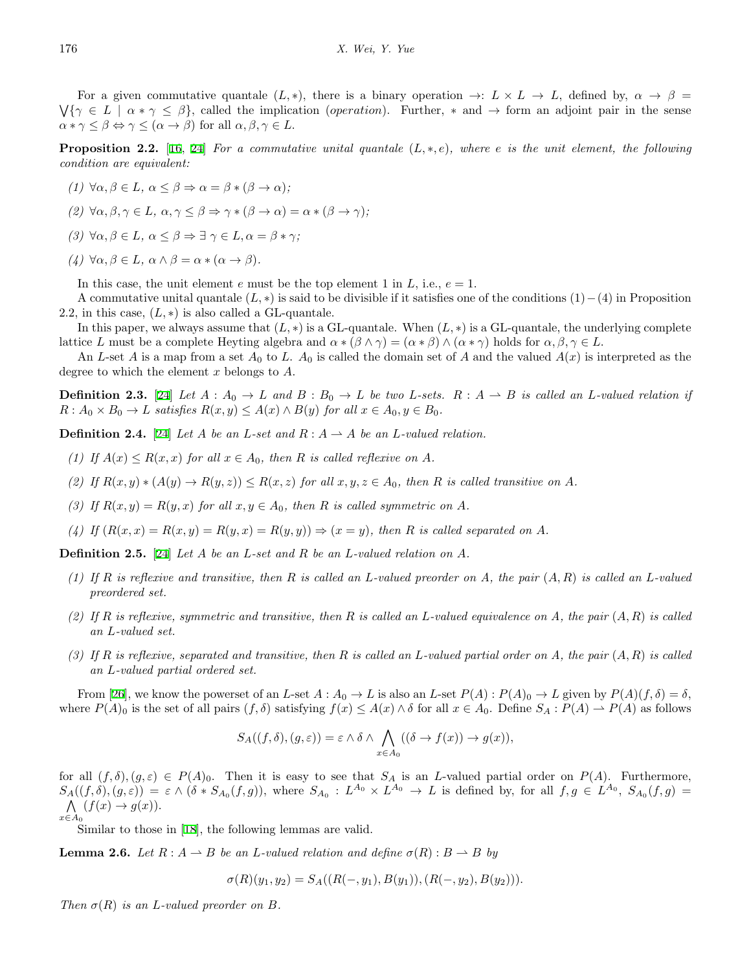For a given commutative quantale  $(L, *)$ , there is a binary operation  $\rightarrow : L \times L \rightarrow L$ , defined by,  $\alpha \rightarrow \beta = \sqrt{\gamma \in L} \mid \alpha * \gamma \leq \beta\}$ , called the implication (*operation*). Further,  $*$  and  $\rightarrow$  form an adjoint pair in the sense  $\alpha * \gamma \leq \beta \Leftrightarrow \gamma \leq (\alpha \to \beta)$  for all  $\alpha, \beta, \gamma \in L$ .

**Proposition 2.2.** [\[16](#page-11-13), [24\]](#page-12-8) *For a commutative unital quantale* (*L, ∗, e*)*, where e is the unit element, the following condition are equivalent:*

- $(1)$   $\forall \alpha, \beta \in L$ ,  $\alpha \leq \beta \Rightarrow \alpha = \beta * (\beta \rightarrow \alpha)$ ;
- $(2)$   $\forall \alpha, \beta, \gamma \in L$ ,  $\alpha, \gamma \leq \beta \Rightarrow \gamma * (\beta \rightarrow \alpha) = \alpha * (\beta \rightarrow \gamma)$ ;
- *(3) ∀α, β ∈ L, α ≤ β ⇒ ∃ γ ∈ L, α* = *β ∗ γ;*
- $(4)$   $\forall \alpha, \beta \in L$ ,  $\alpha \wedge \beta = \alpha * (\alpha \rightarrow \beta)$ .

In this case, the unit element  $e$  must be the top element 1 in  $L$ , i.e.,  $e = 1$ .

A commutative unital quantale (*L, ∗*) is said to be divisible if it satisfies one of the conditions (1)*−*(4) in Proposition 2.2, in this case,  $(L, *)$  is also called a GL-quantale.

In this paper, we always assume that  $(L, *)$  is a GL-quantale. When  $(L, *)$  is a GL-quantale, the underlying complete lattice *L* must be a complete Heyting algebra and  $\alpha * (\beta \wedge \gamma) = (\alpha * \beta) \wedge (\alpha * \gamma)$  holds for  $\alpha, \beta, \gamma \in L$ .

An *L*-set *A* is a map from a set *A*<sup>0</sup> to *L*. *A*<sup>0</sup> is called the domain set of *A* and the valued *A*(*x*) is interpreted as the degree to which the element *x* belongs to *A*.

**Definition 2.3.** [\[24](#page-12-8)] Let  $A : A_0 \to L$  and  $B : B_0 \to L$  be two L-sets.  $R : A \to B$  is called an L-valued relation if  $R: A_0 \times B_0 \to L$  satisfies  $R(x, y) \leq A(x) \wedge B(y)$  for all  $x \in A_0, y \in B_0$ .

**Definition 2.4.** [\[24](#page-12-8)] *Let A be an L*-set and  $R : A \rightarrow A$  *be an L*-valued relation.

- (1) If  $A(x) \le R(x, x)$  for all  $x \in A_0$ , then R is called reflexive on A.
- (2) If  $R(x, y) * (A(y) \to R(y, z)) \leq R(x, z)$  for all  $x, y, z \in A_0$ , then R is called transitive on A.
- *(3) If*  $R(x, y) = R(y, x)$  *for all*  $x, y \in A_0$ *, then R is called symmetric on A.*
- $(f)$  *If*  $(R(x, x) = R(x, y) = R(y, x) = R(y, y) \Rightarrow (x = y)$ , then *R* is called separated on *A*.

**Definition 2.5.** [\[24](#page-12-8)] *Let A be an L-set and R be an L-valued relation on A.*

- *(1) If R is reflexive and transitive, then R is called an L-valued preorder on A, the pair* (*A, R*) *is called an L-valued preordered set.*
- *(2) If R is reflexive, symmetric and transitive, then R is called an L-valued equivalence on A, the pair* (*A, R*) *is called an L-valued set.*
- *(3) If R is reflexive, separated and transitive, then R is called an L-valued partial order on A, the pair* (*A, R*) *is called an L-valued partial ordered set.*

From [\[26](#page-12-9)], we know the powerset of an L-set  $A : A_0 \to L$  is also an L-set  $P(A) : P(A)_0 \to L$  given by  $P(A)(f, \delta) = \delta$ , where  $P(A)_0$  is the set of all pairs  $(f, \delta)$  satisfying  $f(x) \leq A(x) \wedge \delta$  for all  $x \in A_0$ . Define  $S_A : P(A) \to P(A)$  as follows

$$
S_A((f,\delta),(g,\varepsilon))=\varepsilon\wedge\delta\wedge\bigwedge_{x\in A_0}((\delta\to f(x))\to g(x)),
$$

for all  $(f, \delta)$ ,  $(g, \varepsilon) \in P(A)_0$ . Then it is easy to see that  $S_A$  is an *L*-valued partial order on  $P(A)$ . Furthermore,  $S_A((f,\delta),(g,\varepsilon)) = \varepsilon \wedge (\delta * S_{A_0}(f,g)),$  where  $S_{A_0}: L^{A_0} \times L^{A_0} \to L$  is defined by, for all  $f,g \in L^{A_0}, S_{A_0}(f,g) =$ ∧ *x∈A*<sup>0</sup>  $(f(x) \rightarrow g(x)).$ 

Similar to those in [\[18](#page-11-9)], the following lemmas are valid.

**Lemma 2.6.** *Let*  $R: A \to B$  *be an L*-valued relation and define  $\sigma(R): B \to B$  *by* 

 $\sigma(R)(y_1, y_2) = S_A((R(-, y_1), B(y_1)), (R(-, y_2), B(y_2))).$ 

*Then*  $\sigma(R)$  *is an L*-valued preorder on *B*.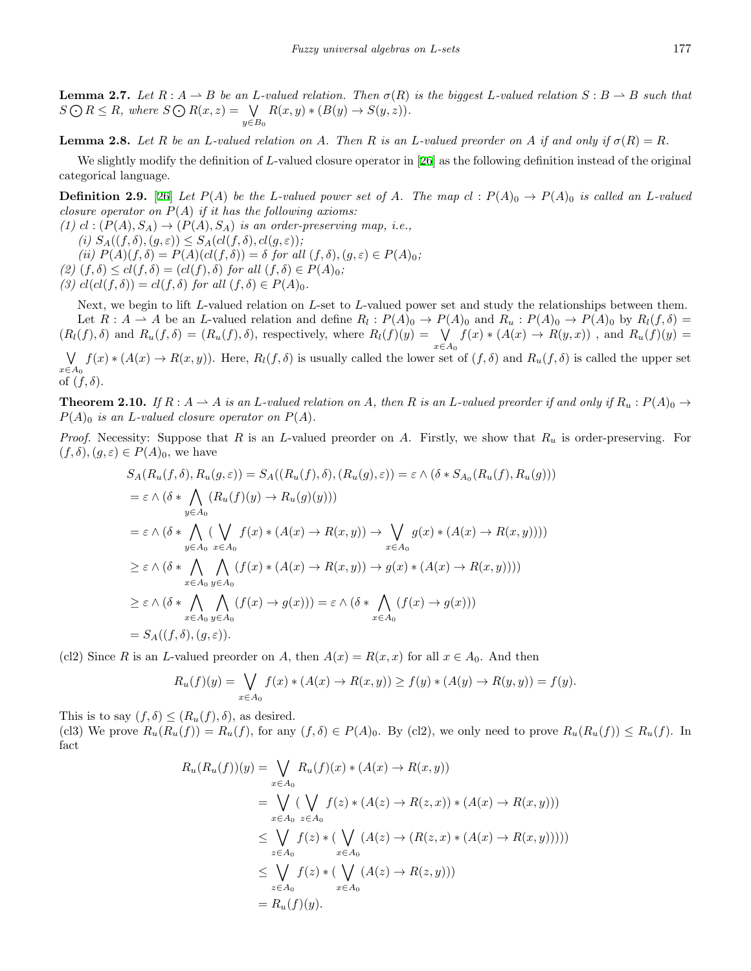**Lemma 2.7.** *Let*  $R: A \to B$  *be an L*-valued relation. Then  $\sigma(R)$  is the biggest *L*-valued relation  $S: B \to B$  such that  $S \bigodot R \leq R$ , where  $S \bigodot R(x, z) = \bigvee R(x, y) * (B(y) \rightarrow S(y, z))$ . *y*<sup>∈</sup>*B*<sub>0</sub>

**Lemma 2.8.** Let R be an L-valued relation on A. Then R is an L-valued preorder on A if and only if  $\sigma(R) = R$ .

We slightly modify the definition of *L*-valued closure operator in [[26\]](#page-12-9) as the following definition instead of the original categorical language.

**Definition 2.9.** [\[26](#page-12-9)] Let  $P(A)$  be the L-valued power set of A. The map  $cl : P(A)_0 \to P(A)_0$  is called an L-valued *closure operator on P*(*A*) *if it has the following axioms:*

 $(1)$   $cl$  :  $(P(A), S_A) \rightarrow (P(A), S_A)$  *is an order-preserving map, i.e.,* 

- $(i)$   $S_A((f, \delta), (g, \varepsilon)) \leq S_A(cl(f, \delta), cl(g, \varepsilon))$ ;
- $(iii)$   $P(A)(f, \delta) = P(A)(cl(f, \delta)) = \delta$  *for all*  $(f, \delta), (g, \varepsilon) \in P(A)_0;$
- $(2)$   $(f, \delta) \leq cl(f, \delta) = (cl(f), \delta)$  *for all*  $(f, \delta) \in P(A)_0$ *;*
- $(3)$   $cl(cl(f, \delta)) = cl(f, \delta)$  *for all*  $(f, \delta) \in P(A)_0$ .

Next, we begin to lift *L*-valued relation on *L*-set to *L*-valued power set and study the relationships between them. Let  $R: A \to A$  be an L-valued relation and define  $R_l: P(A)_0 \to P(A)_0$  and  $R_u: P(A)_0 \to P(A)_0$  by  $R_l(f, \delta) =$  $(R_l(f), \delta)$  and  $R_u(f, \delta) = (R_u(f), \delta)$ , respectively, where  $R_l(f)(y) = \sqrt{y}$ *x∈A*<sup>0</sup>  $f(x) * (A(x) \rightarrow R(y,x))$ , and  $R_u(f)(y) =$ 

 $\bigvee f(x) * (A(x) \to R(x, y)).$  Here,  $R_l(f, \delta)$  is usually called the lower set of  $(f, \delta)$  and  $R_u(f, \delta)$  is called the upper set *x∈A*<sup>0</sup> of (*f, δ*).

**Theorem 2.10.** If  $R: A \to A$  is an L-valued relation on A, then R is an L-valued preorder if and only if  $R_u: P(A)_0 \to$  $P(A)$ <sup>0</sup> *is an L*-valued closure operator on  $P(A)$ .

*Proof.* Necessity: Suppose that *R* is an *L*-valued preorder on *A*. Firstly, we show that *R<sup>u</sup>* is order-preserving. For  $(f, \delta), (g, \varepsilon) \in P(A)_0$ , we have

$$
S_A(R_u(f, \delta), R_u(g, \varepsilon)) = S_A((R_u(f), \delta), (R_u(g), \varepsilon)) = \varepsilon \wedge (\delta * S_{A_0}(R_u(f), R_u(g)))
$$
  
\n
$$
= \varepsilon \wedge (\delta * \bigwedge_{y \in A_0} (R_u(f)(y) \to R_u(g)(y)))
$$
  
\n
$$
= \varepsilon \wedge (\delta * \bigwedge_{y \in A_0} (\bigvee_{x \in A_0} f(x) * (A(x) \to R(x, y))) \to \bigvee_{x \in A_0} g(x) * (A(x) \to R(x, y))))
$$
  
\n
$$
\geq \varepsilon \wedge (\delta * \bigwedge_{x \in A_0} \bigwedge_{y \in A_0} (f(x) * (A(x) \to R(x, y)) \to g(x) * (A(x) \to R(x, y))))
$$
  
\n
$$
\geq \varepsilon \wedge (\delta * \bigwedge_{x \in A_0} \bigwedge_{y \in A_0} (f(x) \to g(x))) = \varepsilon \wedge (\delta * \bigwedge_{x \in A_0} (f(x) \to g(x)))
$$
  
\n
$$
= S_A((f, \delta), (g, \varepsilon)).
$$

(cl2) Since *R* is an *L*-valued preorder on *A*, then  $A(x) = R(x, x)$  for all  $x \in A_0$ . And then

$$
R_u(f)(y) = \bigvee_{x \in A_0} f(x) * (A(x) \to R(x, y)) \ge f(y) * (A(y) \to R(y, y)) = f(y).
$$

This is to say  $(f, \delta) \leq (R_u(f), \delta)$ , as desired.

(cl3) We prove  $R_u(R_u(f)) = R_u(f)$ , for any  $(f, \delta) \in P(A)_0$ . By (cl2), we only need to prove  $R_u(R_u(f)) \le R_u(f)$ . In fact

$$
R_u(R_u(f))(y) = \bigvee_{x \in A_0} R_u(f)(x) * (A(x) \to R(x, y))
$$
  
=  $\bigvee_{x \in A_0} (\bigvee_{z \in A_0} f(z) * (A(z) \to R(z, x)) * (A(x) \to R(x, y)))$   
 $\leq \bigvee_{z \in A_0} f(z) * (\bigvee_{x \in A_0} (A(z) \to (R(z, x) * (A(x) \to R(x, y))))))$   
 $\leq \bigvee_{z \in A_0} f(z) * (\bigvee_{x \in A_0} (A(z) \to R(z, y)))$   
=  $R_u(f)(y).$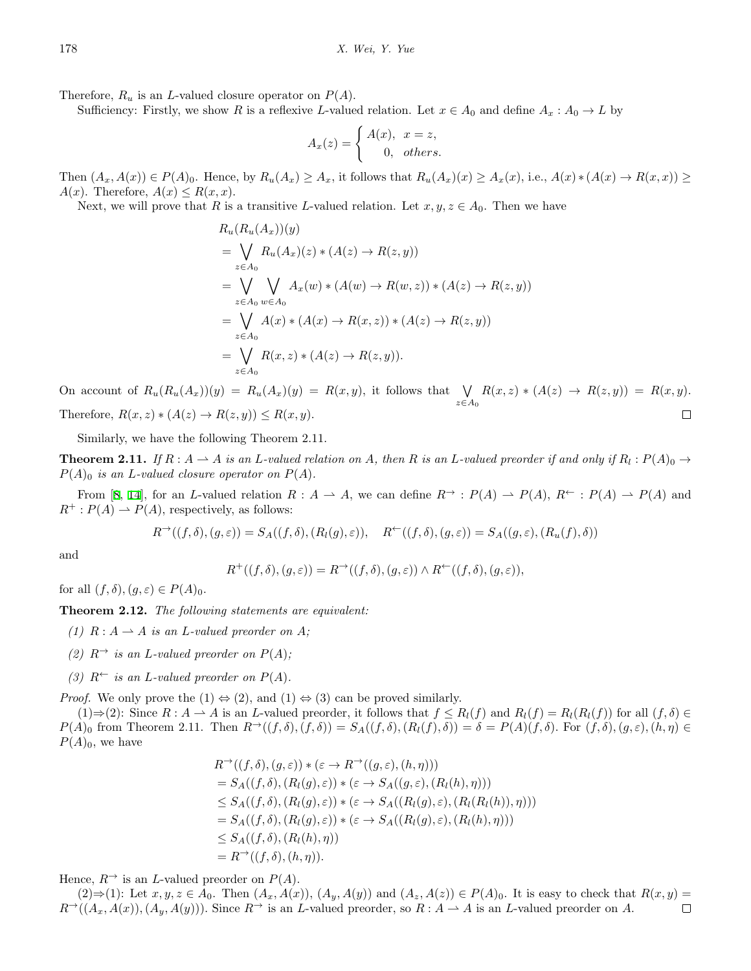Therefore,  $R_u$  is an *L*-valued closure operator on  $P(A)$ .

Sufficiency: Firstly, we show *R* is a reflexive *L*-valued relation. Let  $x \in A_0$  and define  $A_x : A_0 \to L$  by

$$
A_x(z) = \begin{cases} A(x), & x = z, \\ 0, & \text{others.} \end{cases}
$$

Then  $(A_x, A(x)) \in P(A)_0$ . Hence, by  $R_u(A_x) \geq A_x$ , it follows that  $R_u(A_x)(x) \geq A_x(x)$ , i.e.,  $A(x) * (A(x) \to R(x, x)) \geq A_x(A(x) \to R(x, x))$ *A*(*x*). Therefore,  $A(x) \le R(x, x)$ .

Next, we will prove that *R* is a transitive *L*-valued relation. Let  $x, y, z \in A_0$ . Then we have

$$
R_u(R_u(A_x))(y)
$$
  
=  $\bigvee_{z \in A_0} R_u(A_x)(z) * (A(z) \to R(z, y))$   
=  $\bigvee_{z \in A_0} \bigvee_{w \in A_0} A_x(w) * (A(w) \to R(w, z)) * (A(z) \to R(z, y))$   
=  $\bigvee_{z \in A_0} A(x) * (A(x) \to R(x, z)) * (A(z) \to R(z, y))$   
=  $\bigvee_{z \in A_0} R(x, z) * (A(z) \to R(z, y)).$ 

On account of  $R_u(R_u(A_x))(y) = R_u(A_x)(y) = R(x, y)$ , it follows that  $\forall R(x, z) * (A(z) \rightarrow R(z, y)) = R(x, y)$ . *z∈A*<sup>0</sup> Therefore,  $R(x, z) * (A(z) \to R(z, y)) \le R(x, y)$ .  $\Box$ 

Similarly, we have the following Theorem 2.11.

**Theorem 2.11.** If  $R: A \to A$  is an L-valued relation on A, then R is an L-valued preorder if and only if  $R_l: P(A)_0 \to$  $P(A)$ <sup>0</sup> *is an L*-valued closure operator on  $P(A)$ .

From [[8,](#page-11-14) [14](#page-11-15)], for an *L*-valued relation  $R : A \to A$ , we can define  $R \to P(A) \to P(A)$ ,  $R \leftarrow P(A) \to P(A)$  and  $R^+$ :  $P(A) \rightarrow P(A)$ , respectively, as follows:

$$
R^{\rightarrow}((f,\delta),(g,\varepsilon))=S_A((f,\delta),(R_l(g),\varepsilon)),\quad R^{\leftarrow}((f,\delta),(g,\varepsilon))=S_A((g,\varepsilon),(R_u(f),\delta))
$$

and

$$
R^+((f,\delta),(g,\varepsilon))=R^{\to}((f,\delta),(g,\varepsilon))\wedge R^{\leftarrow}((f,\delta),(g,\varepsilon)),
$$

for all  $(f, \delta), (g, \varepsilon) \in P(A)_0$ .

**Theorem 2.12.** *The following statements are equivalent:*

- *(1)*  $R: A \rightarrow A$  *is an L*-valued preorder on A;
- *(2)*  $R^{\rightarrow}$  *is an L*-valued preorder on  $P(A)$ ;
- *(3)*  $R^{\leftarrow}$  *is an L*-valued preorder on  $P(A)$ .

*Proof.* We only prove the  $(1) \Leftrightarrow (2)$ , and  $(1) \Leftrightarrow (3)$  can be proved similarly.

 $(1) \Rightarrow (2)$ : Since  $R : A \to A$  is an L-valued preorder, it follows that  $f \leq R_l(f)$  and  $R_l(f) = R_l(R_l(f))$  for all  $(f, \delta) \in$  $P(A)$  from Theorem 2.11. Then  $R^{\to}((f,\delta),(f,\delta))=S_A((f,\delta),(R_l(f),\delta))=\delta=P(A)(f,\delta).$  For  $(f,\delta),(g,\varepsilon),(h,\eta)\in$  $P(A)_0$ , we have

$$
R^{\rightarrow}((f,\delta),(g,\varepsilon)) * (\varepsilon \to R^{\rightarrow}((g,\varepsilon),(h,\eta)))
$$
  
\n
$$
= S_A((f,\delta),(R_l(g),\varepsilon)) * (\varepsilon \to S_A((g,\varepsilon),(R_l(h),\eta)))
$$
  
\n
$$
\leq S_A((f,\delta),(R_l(g),\varepsilon)) * (\varepsilon \to S_A((R_l(g),\varepsilon),(R_l(R_l(h)),\eta)))
$$
  
\n
$$
= S_A((f,\delta),(R_l(g),\varepsilon)) * (\varepsilon \to S_A((R_l(g),\varepsilon),(R_l(h),\eta)))
$$
  
\n
$$
\leq S_A((f,\delta),(R_l(h),\eta))
$$
  
\n
$$
= R^{\rightarrow}((f,\delta),(h,\eta)).
$$

Hence,  $R^{\rightarrow}$  is an *L*-valued preorder on  $P(A)$ .

 $(2) \Rightarrow (1)$ : Let  $x, y, z \in A_0$ . Then  $(A_x, A(x)), (A_y, A(y))$  and  $(A_z, A(z)) \in P(A)_0$ . It is easy to check that  $R(x, y) =$  $R^{\to}((A_x, A(x)), (A_y, A(y)))$ . Since  $R^{\to}$  is an *L*-valued preorder, so  $R: A \to A$  is an *L*-valued preorder on *A*.  $\Box$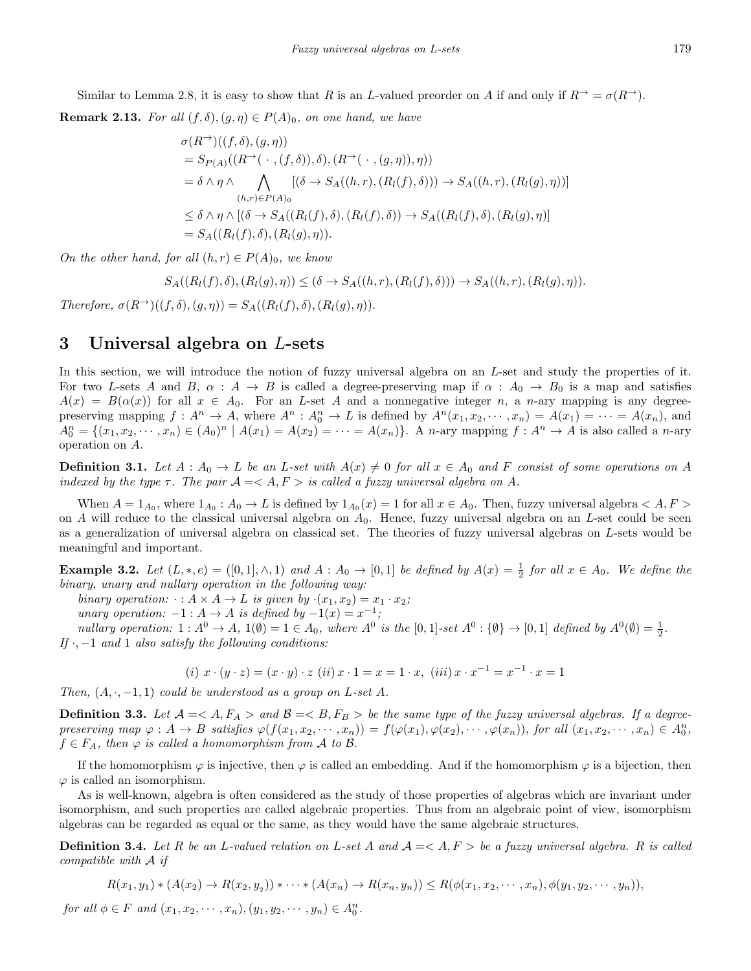Similar to Lemma 2.8, it is easy to show that *R* is an *L*-valued preorder on *A* if and only if  $R^{\rightarrow} = \sigma(R^{\rightarrow})$ . **Remark 2.13.** *For all*  $(f, \delta)$ *,* $(g, \eta) \in P(A)$ <sub>0</sub>*, on one hand, we have* 

$$
\sigma(R^{\rightarrow})((f,\delta),(g,\eta))
$$
\n
$$
= S_{P(A)}((R^{\rightarrow}(\cdot,(f,\delta)),\delta),(R^{\rightarrow}(\cdot,(g,\eta)),\eta))
$$
\n
$$
= \delta \wedge \eta \wedge \bigwedge_{(h,r)\in P(A)_0} [(\delta \rightarrow S_A((h,r),(R_l(f),\delta))) \rightarrow S_A((h,r),(R_l(g),\eta))]
$$
\n
$$
\leq \delta \wedge \eta \wedge [(\delta \rightarrow S_A((R_l(f),\delta),(R_l(f),\delta)) \rightarrow S_A((R_l(f),\delta),(R_l(g),\eta))]
$$
\n
$$
= S_A((R_l(f),\delta),(R_l(g),\eta)).
$$

*On the other hand, for all*  $(h, r) \in P(A)$ <sub>0</sub>*, we know* 

$$
S_A((R_l(f),\delta),(R_l(g),\eta))\leq (\delta \to S_A((h,r),(R_l(f),\delta)))\to S_A((h,r),(R_l(g),\eta)).
$$

 $Therefore, \sigma(R^{\to})((f, \delta), (g, \eta)) = S_A((R_l(f), \delta), (R_l(g), \eta)).$ 

#### **3 Universal algebra on** *L***-sets**

In this section, we will introduce the notion of fuzzy universal algebra on an *L*-set and study the properties of it. For two *L*-sets *A* and *B*,  $\alpha$  :  $A \rightarrow B$  is called a degree-preserving map if  $\alpha$  :  $A_0 \rightarrow B_0$  is a map and satisfies  $A(x) = B(\alpha(x))$  for all  $x \in A_0$ . For an *L*-set *A* and a nonnegative integer *n*, a *n*-ary mapping is any degreepreserving mapping  $f: A^n \to A$ , where  $A^n: A_0^n \to L$  is defined by  $A^n(x_1, x_2, \dots, x_n) = A(x_1) = \dots = A(x_n)$ , and  $A_0^n = \{(x_1, x_2, \dots, x_n) \in (A_0)^n | A(x_1) = A(x_2) = \dots = A(x_n)\}\.$  A n-ary mapping  $f: A^n \to A$  is also called a n-ary operation on *A*.

**Definition 3.1.** Let  $A : A_0 \to L$  be an L-set with  $A(x) \neq 0$  for all  $x \in A_0$  and F consist of some operations on A *indexed by the type*  $\tau$ . The pair  $A \leq A, F > i$  *s* called a fuzzy universal algebra on A.

When  $A = 1_{A_0}$ , where  $1_{A_0}: A_0 \to L$  is defined by  $1_{A_0}(x) = 1$  for all  $x \in A_0$ . Then, fuzzy universal algebra  $\lt A, F$ on *A* will reduce to the classical universal algebra on *A*0. Hence, fuzzy universal algebra on an *L*-set could be seen as a generalization of universal algebra on classical set. The theories of fuzzy universal algebras on *L*-sets would be meaningful and important.

**Example 3.2.** Let  $(L, *, e) = ([0, 1], \wedge, 1)$  and  $A : A_0 \to [0, 1]$  be defined by  $A(x) = \frac{1}{2}$  for all  $x \in A_0$ . We define the *binary, unary and nullary operation in the following way:*

*binary operation:*  $\cdot : A \times A \rightarrow L$  *is given by*  $\cdot (x_1, x_2) = x_1 \cdot x_2$ ;

*unary operation:*  $-1: A \rightarrow A$  *is defined by*  $-1(x) = x^{-1}$ ;

nullary operation:  $1: A^0 \to A$ ,  $1(\emptyset) = 1 \in A_0$ , where  $A^0$  is the  $[0,1]$ -set  $A^0: {\emptyset} \to [0,1]$  defined by  $A^0(\emptyset) = \frac{1}{2}$ . *If ·, −*1 *and* 1 *also satisfy the following conditions:*

(i) 
$$
x \cdot (y \cdot z) = (x \cdot y) \cdot z
$$
 (ii)  $x \cdot 1 = x = 1 \cdot x$ , (iii)  $x \cdot x^{-1} = x^{-1} \cdot x = 1$ 

*Then,*  $(A, \cdot, -1, 1)$  *could be understood as a group on L-set*  $A$ *.* 

**Definition 3.3.** Let  $A = \langle A, F_A \rangle$  and  $B = \langle B, F_B \rangle$  be the same type of the fuzzy universal algebras. If a degreepreserving map  $\varphi: A \to B$  satisfies  $\varphi(f(x_1, x_2, \dots, x_n)) = f(\varphi(x_1), \varphi(x_2), \dots, \varphi(x_n))$ , for all  $(x_1, x_2, \dots, x_n) \in A_0^n$ ,  $f \in F_A$ , then  $\varphi$  *is called a homomorphism from*  $\mathcal A$  *to*  $\mathcal B$ *.* 

If the homomorphism  $\varphi$  is injective, then  $\varphi$  is called an embedding. And if the homomorphism  $\varphi$  is a bijection, then *φ* is called an isomorphism.

As is well-known, algebra is often considered as the study of those properties of algebras which are invariant under isomorphism, and such properties are called algebraic properties. Thus from an algebraic point of view, isomorphism algebras can be regarded as equal or the same, as they would have the same algebraic structures.

**Definition 3.4.** Let  $R$  be an  $L$ -valued relation on  $L$ -set  $A$  and  $A = < A, F >$  be a fuzzy universal algebra.  $R$  is called *compatible with A if*

$$
R(x_1, y_1) * (A(x_2) \to R(x_2, y_2)) * \cdots * (A(x_n) \to R(x_n, y_n)) \leq R(\phi(x_1, x_2, \cdots, x_n), \phi(y_1, y_2, \cdots, y_n)),
$$

*for all*  $\phi \in F$  *and*  $(x_1, x_2, \dots, x_n), (y_1, y_2, \dots, y_n) \in A_0^n$ .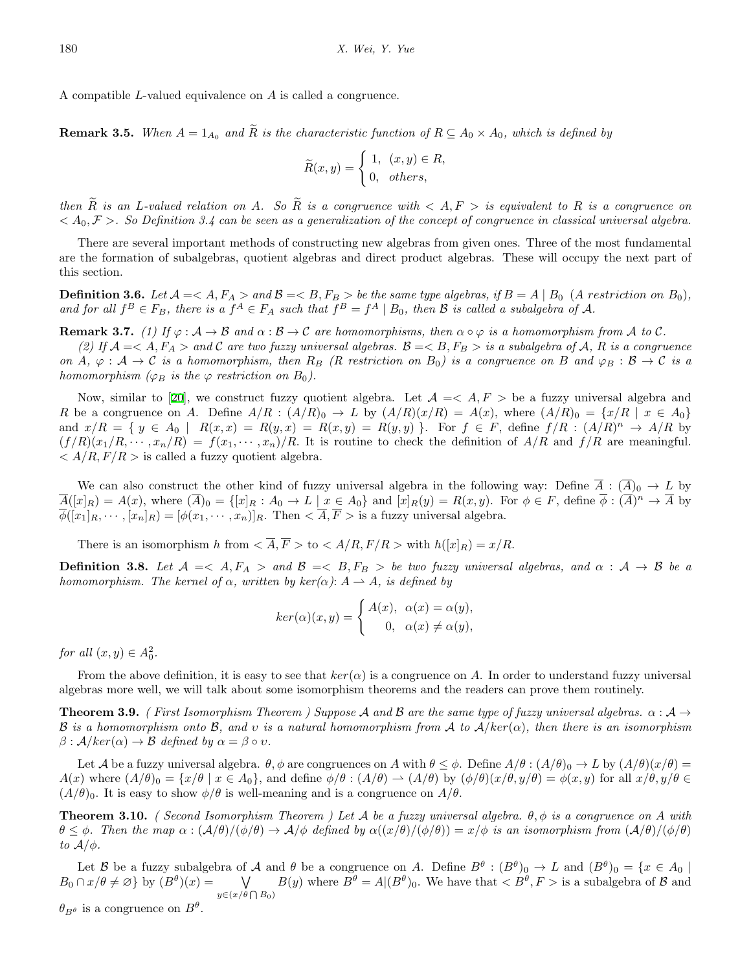A compatible *L*-valued equivalence on *A* is called a congruence.

**Remark 3.5.** *When*  $A = 1_{A_0}$  *and*  $R$  *is the characteristic function of*  $R \subseteq A_0 \times A_0$ *, which is defined by* 

$$
\widetilde{R}(x,y) = \begin{cases} 1, & (x,y) \in R, \\ 0, & others, \end{cases}
$$

*then*  $\widetilde{R}$  *is an L*-valued relation on *A*. So  $\widetilde{R}$  *is a congruence with*  $\lt A, F > i$ *s equivalent to*  $R$  *is a congruence on < A*0*, F >. So Definition 3.4 can be seen as a generalization of the concept of congruence in classical universal algebra.*

There are several important methods of constructing new algebras from given ones. Three of the most fundamental are the formation of subalgebras, quotient algebras and direct product algebras. These will occupy the next part of this section.

**Definition 3.6.** Let  $A = < A, F_A >$  and  $B = < B, F_B >$  be the same type algebras, if  $B = A | B_0$  (A restriction on  $B_0$ ), and for all  $f^B \in F_B$ , there is a  $f^A \in F_A$  such that  $f^B = f^A \mid B_0$ , then  $\beta$  is called a subalgebra of  $\mathcal{A}$ .

**Remark 3.7.** (1) If  $\varphi : A \to B$  and  $\alpha : B \to C$  are homomorphisms, then  $\alpha \circ \varphi$  is a homomorphism from A to C.

(2) If  $A = \langle A, F_A \rangle$  and C are two fuzzy universal algebras.  $B = \langle B, F_B \rangle$  is a subalgebra of A, R is a congruence *on A*,  $\varphi$  :  $A \to C$  *is a homomorphism, then*  $R_B$  (*R restriction on*  $B_0$ ) *is a congruence on B* and  $\varphi_B$  :  $B \to C$  *is a homomorphism* ( $\varphi_B$  *is the*  $\varphi$  *restriction on*  $B_0$ ).

Now, similar to [[20\]](#page-12-10), we construct fuzzy quotient algebra. Let  $A = \langle A, F \rangle$  be a fuzzy universal algebra and R be a congruence on A. Define  $A/R : (A/R)_0 \rightarrow L$  by  $(A/R)(x/R) = A(x)$ , where  $(A/R)_0 = \{x/R \mid x \in A_0\}$ and  $x/R = \{ y \in A_0 \mid R(x,x) = R(y,x) = R(x,y) = R(y,y) \}.$  For  $f \in F$ , define  $f/R : (A/R)^n \to A/R$  by  $(f/R)(x_1/R, \dots, x_n/R) = f(x_1, \dots, x_n)/R$ . It is routine to check the definition of  $A/R$  and  $f/R$  are meaningful.  $\langle A/R, F/R \rangle$  is called a fuzzy quotient algebra.

We can also construct the other kind of fuzzy universal algebra in the following way: Define  $\overline{A}: (\overline{A})_0 \to L$  by  $\overline{A}([x]_R) = A(x)$ , where  $(\overline{A})_0 = \{ [x]_R : A_0 \to L \mid x \in A_0 \}$  and  $[x]_R(y) = R(x, y)$ . For  $\phi \in F$ , define  $\overline{\phi} : (\overline{A})^n \to \overline{A}$  by  $\phi([x_1]_R, \cdots, [x_n]_R) = [\phi(x_1, \cdots, x_n)]_R$ . Then  $\langle A, F \rangle$  is a fuzzy universal algebra.

There is an isomorphism *h* from  $\langle \overline{A}, \overline{F} \rangle$  to  $\langle A/R, F/R \rangle$  with  $h([x]_R) = x/R$ .

**Definition 3.8.** Let  $A \leq A$ ,  $F_A >$  and  $B \leq B$ ,  $F_B >$  be two fuzzy universal algebras, and  $\alpha : A \rightarrow B$  be a *homomorphism. The kernel of*  $\alpha$ *, written by ker(* $\alpha$ *): A*  $\rightarrow$  *A, is defined by* 

$$
ker(\alpha)(x, y) = \begin{cases} A(x), & \alpha(x) = \alpha(y), \\ 0, & \alpha(x) \neq \alpha(y), \end{cases}
$$

*for all*  $(x, y) \in A_0^2$ .

From the above definition, it is easy to see that  $ker(\alpha)$  is a congruence on A. In order to understand fuzzy universal algebras more well, we will talk about some isomorphism theorems and the readers can prove them routinely.

**Theorem 3.9.** *( First Isomorphism Theorem ) Suppose A and B are the same type of fuzzy universal algebras. α* : *A → B is a homomorphism onto B, and υ is a natural homomorphism from A to A/ker*(*α*)*, then there is an isomorphism*  $\beta$ :  $\mathcal{A}/\text{ker}(\alpha) \rightarrow \mathcal{B}$  *defined by*  $\alpha = \beta \circ \upsilon$ *.* 

Let *A* be a fuzzy universal algebra.  $\theta$ ,  $\phi$  are congruences on *A* with  $\theta \leq \phi$ . Define  $A/\theta$ :  $(A/\theta)$ <sub>0</sub>  $\rightarrow$  *L* by  $(A/\theta)(x/\theta)$  =  $A(x)$  where  $(A/\theta)_0 = \{x/\theta \mid x \in A_0\}$ , and define  $\phi/\theta : (A/\theta) \to (A/\theta)$  by  $(\phi/\theta)(x/\theta, y/\theta) = \phi(x, y)$  for all  $x/\theta, y/\theta \in A_0$  $(A/\theta)_0$ . It is easy to show  $\phi/\theta$  is well-meaning and is a congruence on  $A/\theta$ .

**Theorem 3.10.** *( Second Isomorphism Theorem ) Let A be a fuzzy universal algebra. θ, ϕ is a congruence on A with*  $\theta \leq \phi$ . Then the map  $\alpha : (\mathcal{A}/\theta)/(\phi/\theta) \to \mathcal{A}/\phi$  defined by  $\alpha((x/\theta)/(\phi/\theta)) = x/\phi$  is an isomorphism from  $(\mathcal{A}/\theta)/(\phi/\theta)$  $to \mathcal{A}/\phi$ .

Let B be a fuzzy subalgebra of A and  $\theta$  be a congruence on A. Define  $B^{\theta}$ :  $(B^{\theta})_0 \to L$  and  $(B^{\theta})_0 = \{x \in A_0 \mid A_0 \neq 0\}$  $B_0 \cap x/\theta \neq \emptyset$  by  $(B^{\theta})(x) =$  $(x) = \sqrt{2}$ *<sup>y</sup>∈*(*x/θ* <sup>∩</sup> *B*0)  $B(y)$  where  $B^{\theta} = A | (B^{\theta})_0$ . We have that  $B^{\theta}, F >$  is a subalgebra of *B* and *θB<sup>θ</sup>* is a congruence on *B<sup>θ</sup>* .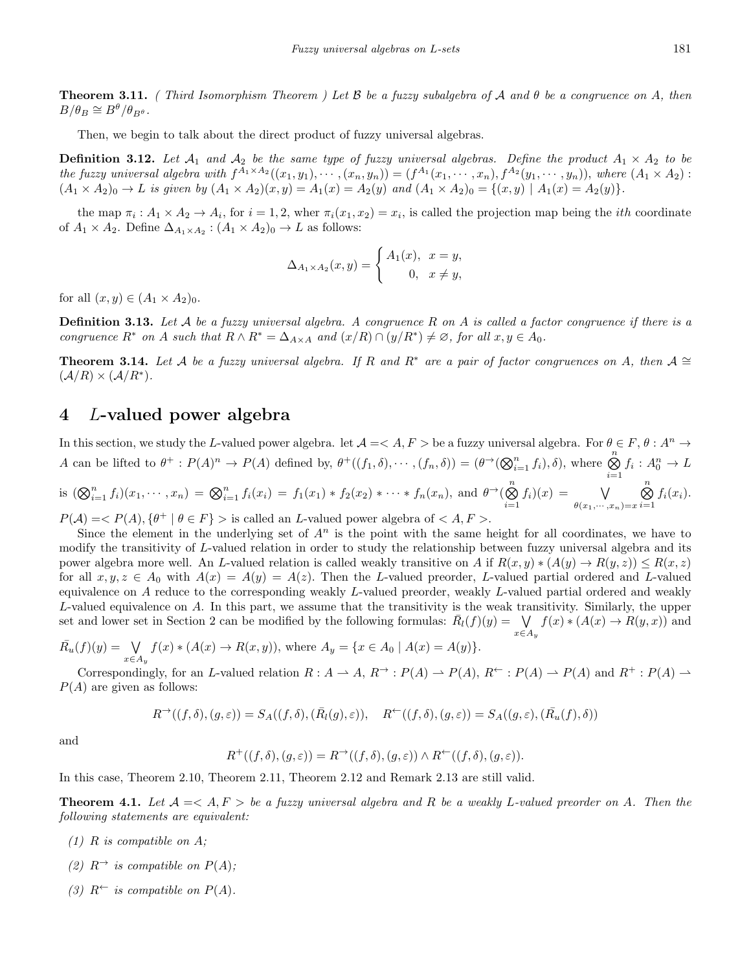**Theorem 3.11.** *( Third Isomorphism Theorem ) Let B be a fuzzy subalgebra of A and θ be a congruence on A, then*  $B/\theta_B \cong B^{\theta}/\theta_{B^{\theta}}$ .

Then, we begin to talk about the direct product of fuzzy universal algebras.

**Definition 3.12.** Let  $A_1$  and  $A_2$  be the same type of fuzzy universal algebras. Define the product  $A_1 \times A_2$  to be the fuzzy universal algebra with  $f^{A_1 \times A_2}((x_1,y_1),\cdots,(x_n,y_n)) = (f^{A_1}(x_1,\cdots,x_n),f^{A_2}(y_1,\cdots,y_n)),$  where  $(A_1 \times A_2)$ :  $(A_1 \times A_2)_0 \to L$  is given by  $(A_1 \times A_2)(x, y) = A_1(x) = A_2(y)$  and  $(A_1 \times A_2)_0 = \{(x, y) \mid A_1(x) = A_2(y)\}.$ 

the map  $\pi_i : A_1 \times A_2 \to A_i$ , for  $i = 1, 2$ , wher  $\pi_i(x_1, x_2) = x_i$ , is called the projection map being the *ith* coordinate of  $A_1 \times A_2$ . Define  $\Delta_{A_1 \times A_2} : (A_1 \times A_2)_0 \to L$  as follows:

$$
\Delta_{A_1 \times A_2}(x, y) = \begin{cases} A_1(x), & x = y, \\ 0, & x \neq y, \end{cases}
$$

for all  $(x, y) \in (A_1 \times A_2)_0$ .

**Definition 3.13.** *Let A be a fuzzy universal algebra. A congruence R on A is called a factor congruence if there is a* congruence  $R^*$  on A such that  $R \wedge R^* = \Delta_{A \times A}$  and  $(x/R) \cap (y/R^*) \neq \emptyset$ , for all  $x, y \in A_0$ .

**Theorem 3.14.** Let  $A$  be a fuzzy universal algebra. If  $R$  and  $R^*$  are a pair of factor congruences on  $A$ , then  $A \cong$  $(\mathcal{A}/R) \times (\mathcal{A}/R^*).$ 

#### **4** *L***-valued power algebra**

In this section, we study the *L*-valued power algebra. let  $A = \langle A, F \rangle$  be a fuzzy universal algebra. For  $\theta \in F, \theta : A^n \to$ A can be lifted to  $\theta^+ : P(A)^n \to P(A)$  defined by,  $\theta^+((f_1, \delta), \dots, (f_n, \delta)) = (\theta^{\to}(\bigotimes_{i=1}^n f_i), \delta)$ , where  $\bigotimes_{i=1}^n f_i : A_0^n \to L$ 

is 
$$
(\bigotimes_{i=1}^{n} f_i)(x_1, \dots, x_n) = \bigotimes_{i=1}^{n} f_i(x_i) = f_1(x_1) * f_2(x_2) * \dots * f_n(x_n)
$$
, and  $\theta^{\to}(\bigotimes_{i=1}^{n} f_i)(x) = \bigvee_{\theta(x_1, \dots, x_n) = x} \bigotimes_{i=1}^{n} f_i(x_i)$ .

 $P(A) = \langle P(A), \{\theta^+ \mid \theta \in F\} \rangle$  is called an *L*-valued power algebra of  $\langle A, F \rangle$ .

Since the element in the underlying set of  $A^n$  is the point with the same height for all coordinates, we have to modify the transitivity of *L*-valued relation in order to study the relationship between fuzzy universal algebra and its power algebra more well. An *L*-valued relation is called weakly transitive on *A* if  $R(x, y) * (A(y) \to R(y, z)) \leq R(x, z)$ for all  $x, y, z \in A_0$  with  $A(x) = A(y) = A(z)$ . Then the *L*-valued preorder, *L*-valued partial ordered and *L*-valued equivalence on *A* reduce to the corresponding weakly *L*-valued preorder, weakly *L*-valued partial ordered and weakly *L*-valued equivalence on *A*. In this part, we assume that the transitivity is the weak transitivity. Similarly, the upper set and lower set in Section 2 can be modified by the following formulas:  $\overline{R}_l(f)(y) = \bigvee f(x) * (A(x) \to R(y, x))$  and *x∈A<sup>y</sup>*

$$
\bar{R}_u(f)(y) = \bigvee_{x \in A_y} f(x) * (A(x) \to R(x, y)), \text{ where } A_y = \{x \in A_0 \mid A(x) = A(y)\}.
$$

Correspondingly, for an L-valued relation  $R: A \to A$ ,  $R^{\to}: P(A) \to P(A)$ ,  $R^{\leftarrow}: P(A) \to P(A)$  and  $R^+: P(A) \to P(A)$ *P*(*A*) are given as follows:

$$
R^{\rightarrow}((f,\delta),(g,\varepsilon))=S_A((f,\delta),(\bar{R}_l(g),\varepsilon)),\quad R^{\leftarrow}((f,\delta),(g,\varepsilon))=S_A((g,\varepsilon),(\bar{R_u}(f),\delta))
$$

and

$$
R^+((f,\delta),(g,\varepsilon))=R^{\to}((f,\delta),(g,\varepsilon))\wedge R^{\leftarrow}((f,\delta),(g,\varepsilon)).
$$

In this case, Theorem 2.10, Theorem 2.11, Theorem 2.12 and Remark 2.13 are still valid.

**Theorem 4.1.** Let  $A \leq A, F > be a fuzzy universal algebra and R be a weakly L-valued preorder on A. Then the$ *following statements are equivalent:*

- *(1) R is compatible on A;*
- *(2)*  $R^→$  *is compatible on*  $P(A)$ *;*
- *(3)*  $R^{\leftarrow}$  *is compatible on*  $P(A)$ *.*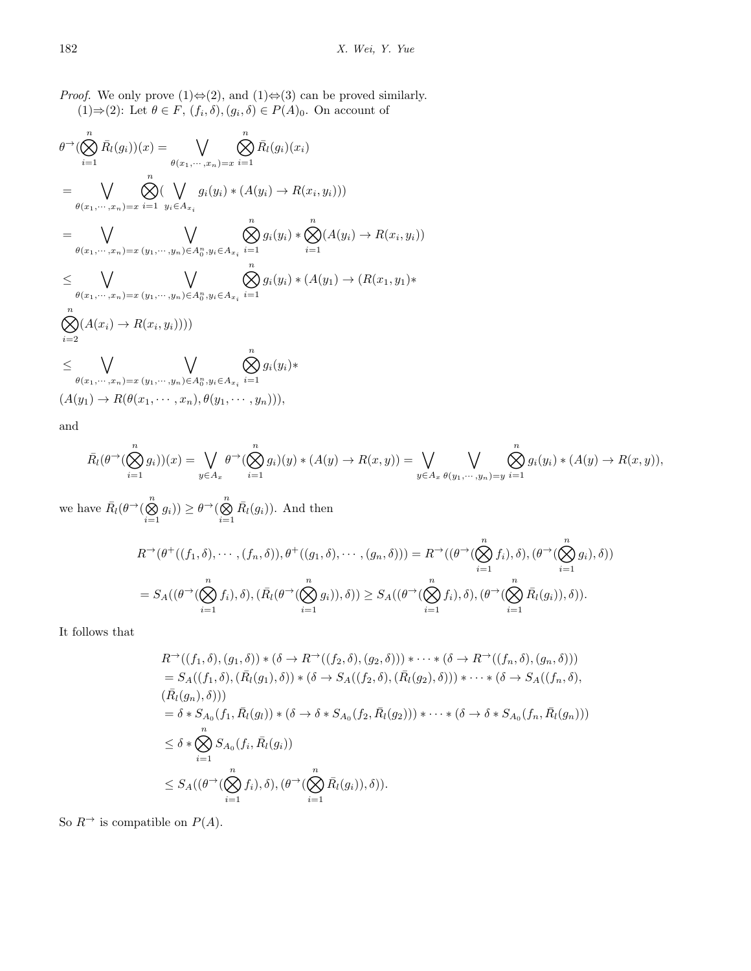*Proof.* We only prove  $(1)$   $\Leftrightarrow$   $(2)$ , and  $(1)$   $\Leftrightarrow$   $(3)$  can be proved similarly.  $(1) \Rightarrow (2)$ : Let  $\theta \in F$ ,  $(f_i, \delta)$ ,  $(g_i, \delta) \in P(A)_0$ . On account of

$$
\theta^{\to}(\bigotimes_{i=1}^{n}\bar{R}_{l}(g_{i}))(x) = \bigvee_{\theta(x_{1},\dots,x_{n})=x}^{n} \bigotimes_{i=1}^{n} \bar{R}_{l}(g_{i})(x_{i})
$$
\n
$$
= \bigvee_{\theta(x_{1},\dots,x_{n})=x}^{n} \bigotimes_{i=1}^{n} (\bigvee_{y_{i}\in A_{x_{i}}} g_{i}(y_{i}) * (A(y_{i}) \to R(x_{i}, y_{i})))
$$
\n
$$
= \bigvee_{\theta(x_{1},\dots,x_{n})=x}^{n} \bigvee_{(y_{1},\dots,y_{n})\in A_{0}^{n}, y_{i}\in A_{x_{i}}} \bigotimes_{i=1}^{n} g_{i}(y_{i}) * \bigotimes_{i=1}^{n} (A(y_{i}) \to R(x_{i}, y_{i}))
$$
\n
$$
\leq \bigvee_{\theta(x_{1},\dots,x_{n})=x}^{n} \bigvee_{(y_{1},\dots,y_{n})\in A_{0}^{n}, y_{i}\in A_{x_{i}}} \bigotimes_{i=1}^{n} g_{i}(y_{i}) * (A(y_{1}) \to (R(x_{1}, y_{1}) * \bigotimes_{i=2}^{n} (A(x_{i}) \to R(x_{i}, y_{i})))\big)
$$
\n
$$
= 2 \bigvee_{\theta(x_{1},\dots,x_{n})=x}^{n} \bigvee_{(y_{1},\dots,y_{n})\in A_{0}^{n}, y_{i}\in A_{x_{i}}} \bigotimes_{i=1}^{n} g_{i}(y_{i}) * (A(y_{1}) \to R(\theta(x_{1},\dots,x_{n}), \theta(y_{1},\dots,y_{n})))
$$

and

$$
\overline{R}_l(\theta^{\rightarrow}(\bigotimes_{i=1}^n g_i))(x) = \bigvee_{y \in A_x} \theta^{\rightarrow}(\bigotimes_{i=1}^n g_i)(y) * (A(y) \rightarrow R(x,y)) = \bigvee_{y \in A_x} \bigvee_{\theta(y_1,\cdots,y_n)=y} \bigotimes_{i=1}^n g_i(y_i) * (A(y) \rightarrow R(x,y)),
$$

we have  $\overline{R}_l(\theta^{\rightarrow}(\stackrel{n}{\otimes})$  $\bigotimes_{i=1}^{n} g_i$ ))  $\geq \theta$ <sup>→</sup>( $\bigotimes_{i=1}^{n}$ *i*=1  $\overline{R}_l(g_i)$ ). And then

$$
R^{\rightarrow}(\theta^+((f_1,\delta),\cdots,(f_n,\delta)),\theta^+((g_1,\delta),\cdots,(g_n,\delta)))=R^{\rightarrow}((\theta^{\rightarrow}(\bigotimes_{i=1}^nf_i),\delta),(\theta^{\rightarrow}(\bigotimes_{i=1}^ng_i),\delta))
$$
  
= 
$$
S_A((\theta^{\rightarrow}(\bigotimes_{i=1}^nf_i),\delta),(\bar{R}_l(\theta^{\rightarrow}(\bigotimes_{i=1}^ng_i)),\delta))\geq S_A((\theta^{\rightarrow}(\bigotimes_{i=1}^nf_i),\delta),(\theta^{\rightarrow}(\bigotimes_{i=1}^n\bar{R}_l(g_i)),\delta)).
$$

It follows that

$$
R^{\rightarrow}((f_1, \delta), (g_1, \delta)) * (\delta \rightarrow R^{\rightarrow}((f_2, \delta), (g_2, \delta))) * \cdots * (\delta \rightarrow R^{\rightarrow}((f_n, \delta), (g_n, \delta)))
$$
  
\n
$$
= S_A((f_1, \delta), (\bar{R}_l(g_1), \delta)) * (\delta \rightarrow S_A((f_2, \delta), (\bar{R}_l(g_2), \delta))) * \cdots * (\delta \rightarrow S_A((f_n, \delta),
$$
  
\n
$$
(\bar{R}_l(g_n), \delta)))
$$
  
\n
$$
= \delta * S_{A_0}(f_1, \bar{R}_l(g_l)) * (\delta \rightarrow \delta * S_{A_0}(f_2, \bar{R}_l(g_2))) * \cdots * (\delta \rightarrow \delta * S_{A_0}(f_n, \bar{R}_l(g_n)))
$$
  
\n
$$
\leq \delta * \bigotimes_{i=1}^n S_{A_0}(f_i, \bar{R}_l(g_i))
$$
  
\n
$$
\leq S_A((\theta^{\rightarrow}(\bigotimes_{i=1}^n f_i), \delta), (\theta^{\rightarrow}(\bigotimes_{i=1}^n \bar{R}_l(g_i)), \delta)).
$$

So  $R^{\rightarrow}$  is compatible on  $P(A)$ .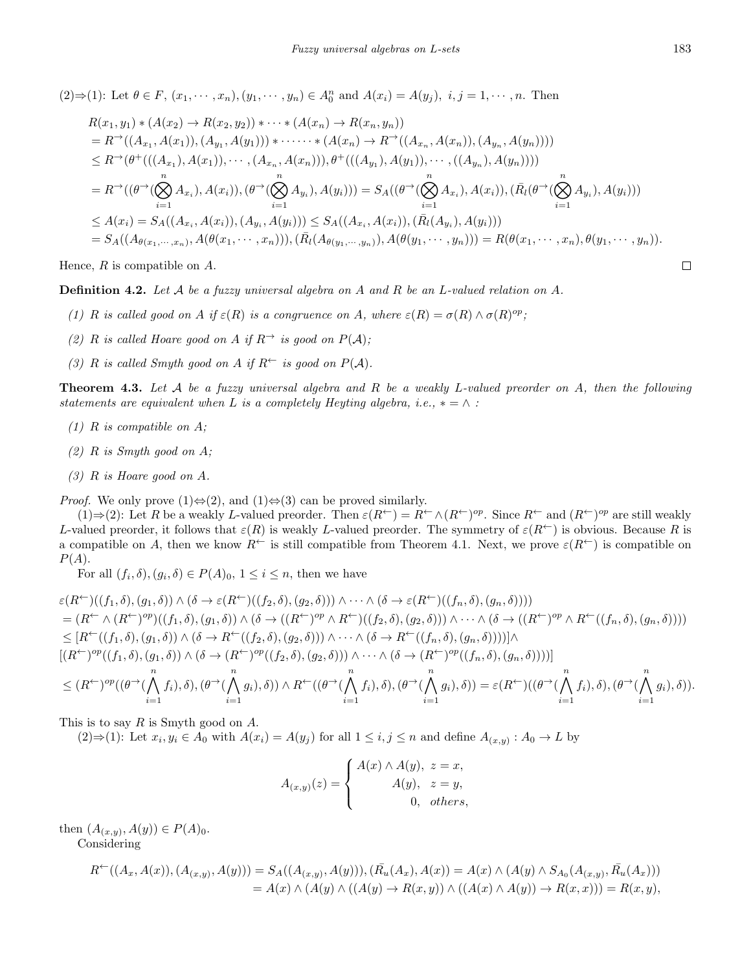$$
(2) \Rightarrow (1)
$$
: Let  $\theta \in F$ ,  $(x_1, \dots, x_n)$ ,  $(y_1, \dots, y_n) \in A_0^n$  and  $A(x_i) = A(y_j)$ ,  $i, j = 1, \dots, n$ . Then

$$
R(x_1, y_1) * (A(x_2) \to R(x_2, y_2)) * \cdots * (A(x_n) \to R(x_n, y_n))
$$
  
\n
$$
= R^{\rightarrow}((A_{x_1}, A(x_1)), (A_{y_1}, A(y_1))) * \cdots \cdots * (A(x_n) \to R^{\rightarrow}((A_{x_n}, A(x_n)), (A_{y_n}, A(y_n))))
$$
  
\n
$$
\leq R^{\rightarrow}(\theta^+(((A_{x_1}), A(x_1)), \cdots, (A_{x_n}, A(x_n))), \theta^+(((A_{y_1}), A(y_1)), \cdots, ((A_{y_n}), A(y_n))))
$$
  
\n
$$
= R^{\rightarrow}((\theta^{\rightarrow}(\bigotimes_{i=1}^n A_{x_i}), A(x_i)), (\theta^{\rightarrow}(\bigotimes_{i=1}^n A_{y_i}), A(y_i))) = S_A((\theta^{\rightarrow}(\bigotimes_{i=1}^n A_{x_i}), A(x_i)), (\overline{R}_l(\theta^{\rightarrow}(\bigotimes_{i=1}^n A_{y_i}), A(y_i)))
$$
  
\n
$$
\leq A(x_i) = S_A((A_{x_i}, A(x_i)), (A_{y_i}, A(y_i))) \leq S_A((A_{x_i}, A(x_i)), (\overline{R}_l(A_{y_i}), A(y_i)))
$$
  
\n
$$
= S_A((A_{\theta(x_1, \cdots, x_n)}, A(\theta(x_1, \cdots, x_n))), (\overline{R}_l(A_{\theta(y_1, \cdots, y_n)}), A(\theta(y_1, \cdots, y_n))) = R(\theta(x_1, \cdots, x_n), \theta(y_1, \cdots, y_n)).
$$

Hence, *R* is compatible on *A*.

**Definition 4.2.** *Let A be a fuzzy universal algebra on A and R be an L-valued relation on A.*

- *(1) R is called good on A if*  $\varepsilon(R)$  *is a congruence on A*, where  $\varepsilon(R) = \sigma(R) \wedge \sigma(R)^{op}$ ;
- *(2) R is called Hoare good on A if*  $R$ <sup> $\rightarrow$ </sup> *is good on*  $P(A)$ *;*
- *(3) R is called Smyth good on A if*  $R^{\leftarrow}$  *is good on*  $P(A)$ *.*

**Theorem 4.3.** *Let A be a fuzzy universal algebra and R be a weakly L-valued preorder on A, then the following statements are equivalent when*  $L$  *is a completely Heyting algebra, i.e.,*  $* = \wedge$  *:* 

- *(1) R is compatible on A;*
- *(2) R is Smyth good on A;*
- *(3) R is Hoare good on A.*

*Proof.* We only prove  $(1)$   $\Leftrightarrow$   $(2)$ , and  $(1)$   $\Leftrightarrow$   $(3)$  can be proved similarly.

 $(1) \Rightarrow (2)$ : Let R be a weakly L-valued preorder. Then  $\varepsilon(R^+) = R^+ \wedge (R^+)^{op}$ . Since  $R^+$  and  $(R^+)^{op}$  are still weakly *L*-valued preorder, it follows that  $\varepsilon(R)$  is weakly *L*-valued preorder. The symmetry of  $\varepsilon(R^{\leftarrow})$  is obvious. Because *R* is a compatible on *A*, then we know  $R^{\leftarrow}$  is still compatible from Theorem 4.1. Next, we prove  $\varepsilon(R^{\leftarrow})$  is compatible on *P*(*A*).

For all  $(f_i, \delta)$ ,  $(g_i, \delta) \in P(A)_0$ ,  $1 \leq i \leq n$ , then we have

$$
\varepsilon(R^{\leftarrow})((f_1,\delta),(g_1,\delta)) \wedge (\delta \to \varepsilon(R^{\leftarrow})((f_2,\delta),(g_2,\delta))) \wedge \cdots \wedge (\delta \to \varepsilon(R^{\leftarrow})((f_n,\delta),(g_n,\delta)))
$$
\n
$$
= (R^{\leftarrow} \wedge (R^{\leftarrow})^{op})( (f_1,\delta),(g_1,\delta)) \wedge (\delta \to ((R^{\leftarrow})^{op} \wedge R^{\leftarrow})((f_2,\delta),(g_2,\delta))) \wedge \cdots \wedge (\delta \to ((R^{\leftarrow})^{op} \wedge R^{\leftarrow}((f_n,\delta),(g_n,\delta))) )
$$
\n
$$
\leq [R^{\leftarrow}((f_1,\delta),(g_1,\delta)) \wedge (\delta \to R^{\leftarrow}((f_2,\delta),(g_2,\delta))) \wedge \cdots \wedge (\delta \to R^{\leftarrow}((f_n,\delta),(g_n,\delta))) ] \wedge
$$
\n
$$
[(R^{\leftarrow})^{op}((f_1,\delta),(g_1,\delta)) \wedge (\delta \to (R^{\leftarrow})^{op}((f_2,\delta),(g_2,\delta))) \wedge \cdots \wedge (\delta \to (R^{\leftarrow})^{op}((f_n,\delta),(g_n,\delta))) ]]
$$
\n
$$
\leq (R^{\leftarrow})^{op}((\theta^{\rightarrow}(\bigwedge^{n}f_i),\delta),(\theta^{\rightarrow}(\bigwedge^{n}g_i),\delta)) \wedge R^{\leftarrow}((\theta^{\rightarrow}(\bigwedge^{n}f_i),\delta),(\theta^{\rightarrow}(\bigwedge^{n}g_i),\delta)) = \varepsilon(R^{\leftarrow})((\theta^{\rightarrow}(\bigwedge^{n}f_i),\delta),(\theta^{\rightarrow}(\bigwedge^{n}g_i),\delta)).
$$

This is to say *R* is Smyth good on *A*.

 $(2) \Rightarrow (1)$ : Let  $x_i, y_i \in A_0$  with  $A(x_i) = A(y_j)$  for all  $1 \leq i, j \leq n$  and define  $A_{(x,y)} : A_0 \to L$  by

$$
A_{(x,y)}(z) = \begin{cases} A(x) \wedge A(y), & z = x, \\ A(y), & z = y, \\ 0, & \text{others,} \end{cases}
$$

then  $(A_{(x,y)}, A(y)) \in P(A)_0$ . Considering

$$
R^{\leftarrow}((A_x, A(x)), (A_{(x,y)}, A(y))) = S_A((A_{(x,y)}, A(y))), (\bar{R_u}(A_x), A(x)) = A(x) \land (A(y) \land S_{A_0}(A_{(x,y)}, \bar{R_u}(A_x)))
$$
  
=  $A(x) \land (A(y) \land ((A(y) \rightarrow R(x,y)) \land ((A(x) \land A(y)) \rightarrow R(x,x))) = R(x,y),$ 

 $\Box$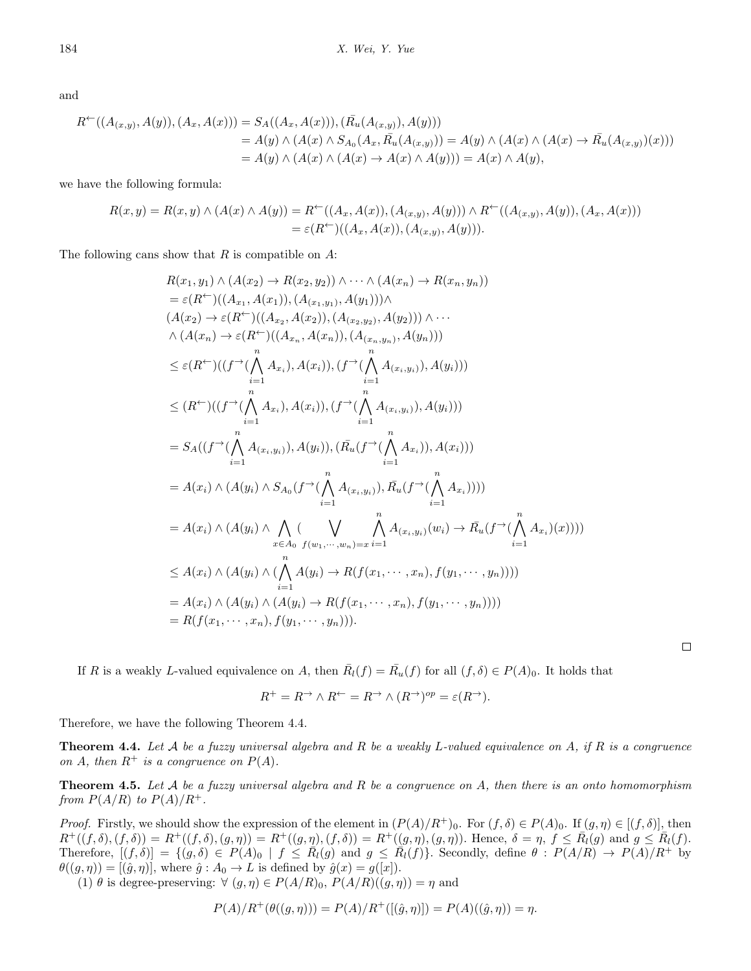and

$$
R^{\leftarrow}((A_{(x,y)}, A(y)), (A_x, A(x))) = S_A((A_x, A(x))), (\bar{R}_u(A_{(x,y)}), A(y)))
$$
  
=  $A(y) \wedge (A(x) \wedge S_{A_0}(A_x, \bar{R}_u(A_{(x,y)})) = A(y) \wedge (A(x) \wedge (A(x) \to \bar{R}_u(A_{(x,y)})(x)))$   
=  $A(y) \wedge (A(x) \wedge (A(x) \to A(x) \wedge A(y))) = A(x) \wedge A(y),$ 

we have the following formula:

$$
R(x,y) = R(x,y) \land (A(x) \land A(y)) = R^{\leftarrow}((A_x, A(x)), (A_{(x,y)}, A(y))) \land R^{\leftarrow}((A_{(x,y)}, A(y)), (A_x, A(x)))
$$
  
=  $\varepsilon(R^{\leftarrow})((A_x, A(x)), (A_{(x,y)}, A(y))).$ 

The following cans show that *R* is compatible on *A*:

$$
R(x_1, y_1) \wedge (A(x_2) \to R(x_2, y_2)) \wedge \cdots \wedge (A(x_n) \to R(x_n, y_n))
$$
  
\n
$$
= \varepsilon (R^{\leftarrow})((A_{x_1}, A(x_1)), (A_{(x_1, y_1)}, A(y_1))) \wedge
$$
  
\n
$$
(A(x_2) \to \varepsilon (R^{\leftarrow})((A_{x_2}, A(x_2)), (A_{(x_2, y_2)}, A(y_2))) \wedge \cdots
$$
  
\n
$$
\wedge (A(x_n) \to \varepsilon (R^{\leftarrow})((A_{x_n}, A(x_n)), (A_{(x_n, y_n)}, A(y_n)))
$$
  
\n
$$
\leq \varepsilon (R^{\leftarrow})((f^{\rightarrow}(\bigwedge_{i=1}^{n} A_{x_i}), A(x_i)), (f^{\rightarrow}(\bigwedge_{i=1}^{n} A_{(x_i, y_i)}), A(y_i)))
$$
  
\n
$$
\leq (R^{\leftarrow})((f^{\rightarrow}(\bigwedge_{i=1}^{n} A_{x_i}), A(x_i)), (f^{\rightarrow}(\bigwedge_{i=1}^{n} A_{(x_i, y_i)}), A(y_i)))
$$
  
\n
$$
= S_A((f^{\rightarrow}(\bigwedge_{i=1}^{n} A_{(x_i, y_i)}), A(y_i)), (\overline{R}_u(f^{\rightarrow}(\bigwedge_{i=1}^{n} A_{x_i})), A(x_i)))
$$
  
\n
$$
= A(x_i) \wedge (A(y_i) \wedge S_{A_0}(f^{\rightarrow}(\bigwedge_{i=1}^{n} A_{(x_i, y_i)}), \overline{R}_u(f^{\rightarrow}(\bigwedge_{i=1}^{n} A_{x_i}))))
$$
  
\n
$$
= A(x_i) \wedge (A(y_i) \wedge \bigwedge_{x \in A_0}^{n} (A_{(y_i, y_i)}, x_{n}) = x_i - 1
$$
  
\n
$$
\leq A(x_i) \wedge (A(y_i) \wedge (\bigwedge_{i=1}^{n} A_{(y_i, y_i)}, x_{n}) = x_i - 1
$$
  
\n
$$
= A(x_i) \wedge (A(y_i) \wedge (A(y_i) \to R(f(x_1, \cdots, x_n), f(y_1, \cdots, y_n))))
$$
  
\n<math display="block</math>

If *R* is a weakly *L*-valued equivalence on *A*, then  $\overline{R}_l(f) = \overline{R}_u(f)$  for all  $(f, \delta) \in P(A)_0$ . It holds that

$$
R^+ = R^{\to} \wedge R^{\leftarrow} = R^{\to} \wedge (R^{\to})^{op} = \varepsilon (R^{\to}).
$$

Therefore, we have the following Theorem 4.4.

**Theorem 4.4.** *Let A be a fuzzy universal algebra and R be a weakly L-valued equivalence on A, if R is a congruence on A, then*  $R^+$  *is a congruence on*  $P(A)$ *.* 

**Theorem 4.5.** *Let A be a fuzzy universal algebra and R be a congruence on A, then there is an onto homomorphism from*  $P(A/R)$  *to*  $P(A)/R^+$ *.* 

*Proof.* Firstly, we should show the expression of the element in  $(P(A)/R^+)$ <sub>0</sub>. For  $(f, \delta) \in P(A)$ <sub>0</sub>. If  $(g, \eta) \in [(f, \delta)]$ , then  $R^+((f, \delta), (f, \delta)) = R^+((f, \delta), (g, \eta)) = R^+((g, \eta), (f, \delta)) = R^+((g, \eta), (g, \eta))$ . Hence,  $\delta = \eta, f \leq R_i(g)$  and  $g \leq R_i(f)$ . Therefore,  $[(f,\delta)] = \{(g,\delta) \in P(A)_0 \mid f \leq \overline{R}_l(g) \text{ and } g \leq \overline{R}_l(f)\}\)$ . Secondly, define  $\theta: P(A/R) \to P(A)/R^+$  by  $\theta((g, \eta)) = [(\hat{g}, \eta)]$ , where  $\hat{g}: A_0 \to L$  is defined by  $\hat{g}(x) = g([x])$ .

(1)  $\theta$  is degree-preserving:  $\forall$   $(g, \eta) \in P(A/R)$ ,  $P(A/R)((g, \eta)) = \eta$  and

$$
P(A)/R^{+}(\theta((g,\eta))) = P(A)/R^{+}([(\hat{g},\eta)]) = P(A)((\hat{g},\eta)) = \eta.
$$

 $\Box$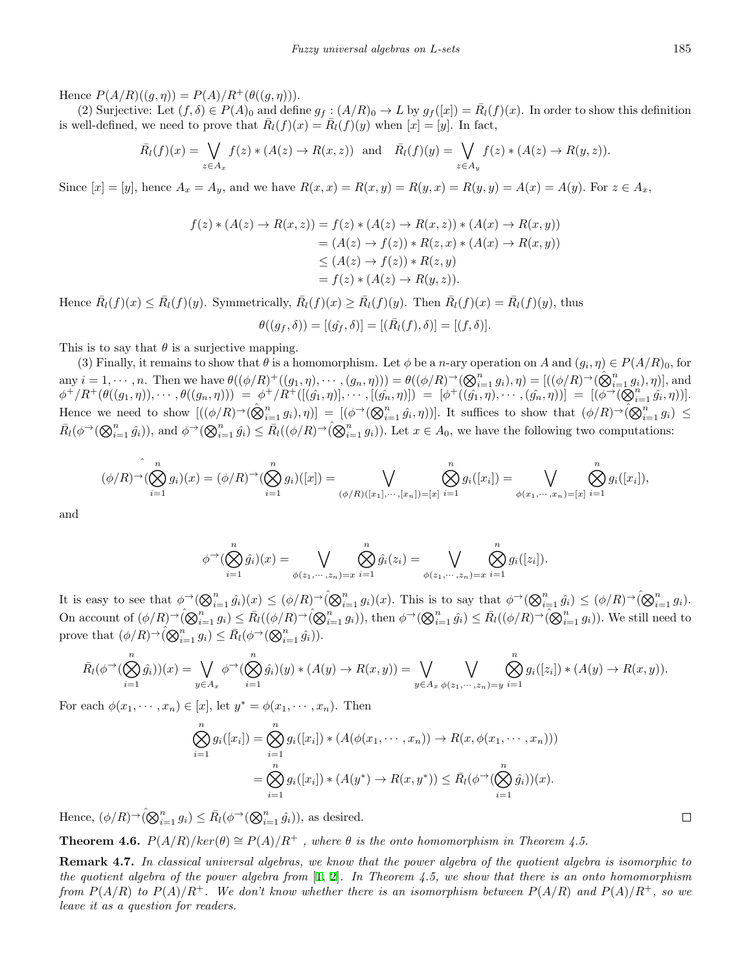Hence  $P(A/R)((q, \eta)) = P(A)/R^{+}(\theta((q, \eta))).$ 

(2) Surjective: Let  $(f, \delta) \in P(A)_0$  and define  $g_f : (A/R)_0 \to L$  by  $g_f([x]) = \overline{R}_l(f)(x)$ . In order to show this definition is well-defined, we need to prove that  $\overline{R}_l(f)(x) = \overline{R}_l(f)(y)$  when  $[x] = [y]$ . In fact,

$$
\bar{R}_l(f)(x) = \bigvee_{z \in A_x} f(z) * (A(z) \to R(x, z)) \text{ and } \bar{R}_l(f)(y) = \bigvee_{z \in A_y} f(z) * (A(z) \to R(y, z)).
$$

Since  $[x] = [y]$ , hence  $A_x = A_y$ , and we have  $R(x, x) = R(x, y) = R(y, x) = R(y, y) = A(x) = A(y)$ . For  $z \in A_x$ ,

$$
f(z) * (A(z) \to R(x, z)) = f(z) * (A(z) \to R(x, z)) * (A(x) \to R(x, y))
$$
  
= (A(z) \to f(z)) \* R(z, x) \* (A(x) \to R(x, y))  

$$
\leq (A(z) \to f(z)) * R(z, y)
$$
  
= f(z) \* (A(z) \to R(y, z)).

Hence  $\overline{R}_l(f)(x) \leq \overline{R}_l(f)(y)$ . Symmetrically,  $\overline{R}_l(f)(x) \geq \overline{R}_l(f)(y)$ . Then  $\overline{R}_l(f)(x) = \overline{R}_l(f)(y)$ , thus

$$
\theta((g_f, \delta)) = [(\hat{g_f}, \delta)] = [(\bar{R}_l(f), \delta)] = [(f, \delta)].
$$

This is to say that  $\theta$  is a surjective mapping.

(3) Finally, it remains to show that  $\theta$  is a homomorphism. Let  $\phi$  be a *n*-ary operation on *A* and  $(g_i, \eta) \in P(A/R)_0$ , for any  $i = 1, \dots, n$ . Then we have  $\theta((\phi/R)^+((g_1, \eta), \dots, (g_n, \eta))) = \theta((\phi/R)^{\rightarrow}(\bigotimes_{i=1}^n g_i), \eta) = [((\phi/R)^{\rightarrow}(\hat{\bigotimes}_{i=1}^n g_i), \eta)],$  and  $\phi^+/R^+(\theta((g_1,\eta)),\cdots,\theta((g_n,\eta))) = \phi^+/R^+([\hat{(g_1},\eta)],\cdots, [\hat{(g_n},\eta)]) = [\phi^+((\hat{g_1},\eta),\cdots,(\hat{g_n},\eta))] = [(\phi^{\rightarrow}(\bigotimes_{i=1}^n\hat{g_i},\eta))]$ Hence we need to show  $[(\phi/R)^{\rightarrow}(\hat{\otimes}_{i=1}^{n} g_i), \eta] = [(\phi^{\rightarrow}(\otimes_{i=1}^{n} \hat{g_i}, \eta))]$ . It suffices to show that  $(\phi/R)^{\rightarrow}(\hat{\otimes}_{i=1}^{n} g_i)$  $\overline{R}_l(\phi^{\rightarrow}(\bigotimes_{i=1}^n\hat{g}_i))$ , and  $\phi^{\rightarrow}(\bigotimes_{i=1}^n\hat{g}_i) \leq \overline{R}_l((\phi/R)^{\rightarrow}(\bigotimes_{i=1}^ng_i))$ . Let  $x \in A_0$ , we have the following two computations:

$$
(\phi/R)^{\rightarrow}(\bigotimes_{i=1}^{n}g_{i})(x) = (\phi/R)^{\rightarrow}(\bigotimes_{i=1}^{n}g_{i})([x]) = \bigvee_{(\phi/R)([x_{1}],\cdots,[x_{n}])=[x]} \bigotimes_{i=1}^{n}g_{i}([x_{i}]) = \bigvee_{\phi(x_{1},\cdots,x_{n})=[x]} \bigotimes_{i=1}^{n}g_{i}([x_{i}]),
$$

and

$$
\phi^{\rightarrow}(\bigotimes_{i=1}^{n}\hat{g}_{i})(x)=\bigvee_{\phi(z_{1},\cdots,z_{n})=x}\bigotimes_{i=1}^{n}\hat{g}_{i}(z_{i})=\bigvee_{\phi(z_{1},\cdots,z_{n})=x}\bigotimes_{i=1}^{n}g_{i}([z_{i}]).
$$

It is easy to see that  $\phi^{\rightarrow}(\bigotimes_{i=1}^{n} \hat{g}_i)(x) \leq (\phi/R)^{\rightarrow}(\bigotimes_{i=1}^{n} g_i)(x)$ . This is to say that  $\phi^{\rightarrow}(\bigotimes_{i=1}^{n} \hat{g}_i) \leq (\phi/R)^{\rightarrow}(\bigotimes_{i=1}^{n} g_i)$ . On account of  $(\phi/R)^{\rightarrow}(\bigotimes_{i=1}^{n} g_i) \leq \overline{R}_l((\phi/R)^{\rightarrow}(\bigotimes_{i=1}^{n} g_i)),$  then  $\phi^{\rightarrow}(\bigotimes_{i=1}^{n} \hat{g}_i) \leq \overline{R}_l((\phi/R)^{\rightarrow}(\bigotimes_{i=1}^{n} g_i)).$  We still need to prove that  $(\phi/R)^{\rightarrow} (\mathcal{Q}_{i=1}^n g_i) \leq \bar{R}_l(\phi^{\rightarrow}(\mathcal{Q}_{i=1}^n \hat{g}_i)).$ 

$$
\bar{R}_{l}(\phi^{\to}(\bigotimes_{i=1}^{n}\hat{g}_{i}))(x) = \bigvee_{y\in A_{x}}\phi^{\to}(\bigotimes_{i=1}^{n}\hat{g}_{i})(y) * (A(y) \to R(x,y)) = \bigvee_{y\in A_{x}}\bigvee_{\phi(z_{1},\cdots,z_{n})=y}\bigotimes_{i=1}^{n}g_{i}([z_{i}]) * (A(y) \to R(x,y)).
$$

For each  $\phi(x_1, \dots, x_n) \in [x]$ , let  $y^* = \phi(x_1, \dots, x_n)$ . Then

$$
\bigotimes_{i=1}^{n} g_i([x_i]) = \bigotimes_{i=1}^{n} g_i([x_i]) * (A(\phi(x_1, \dots, x_n)) \to R(x, \phi(x_1, \dots, x_n)))
$$
  
= 
$$
\bigotimes_{i=1}^{n} g_i([x_i]) * (A(y^*) \to R(x, y^*)) \leq \bar{R}_l(\phi^{\to}(\bigotimes_{i=1}^{n} \hat{g}_i))(x).
$$

Hence,  $(\phi/R)^{\rightarrow}(\mathcal{Q}_{i=1}^n g_i) \leq \bar{R}_l(\phi^{\rightarrow}(\mathcal{Q}_{i=1}^n \hat{g}_i))$ , as desired.

**Theorem 4.6.**  $P(A/R)/ker(\theta) \cong P(A)/R^+$ , where  $\theta$  is the onto homomorphism in Theorem 4.5.

**Remark 4.7.** *In classical universal algebras, we know that the power algebra of the quotient algebra is isomorphic to the quotient algebra of the power algebra from* [[1,](#page-11-16) [2](#page-11-17)]*. In Theorem 4.5, we show that there is an onto homomorphism from*  $P(A/R)$  *to*  $P(A)/R^+$ *. We don't know whether there is an isomorphism between*  $P(A/R)$  *and*  $P(A)/R^+$ *, so we leave it as a question for readers.*

 $\Box$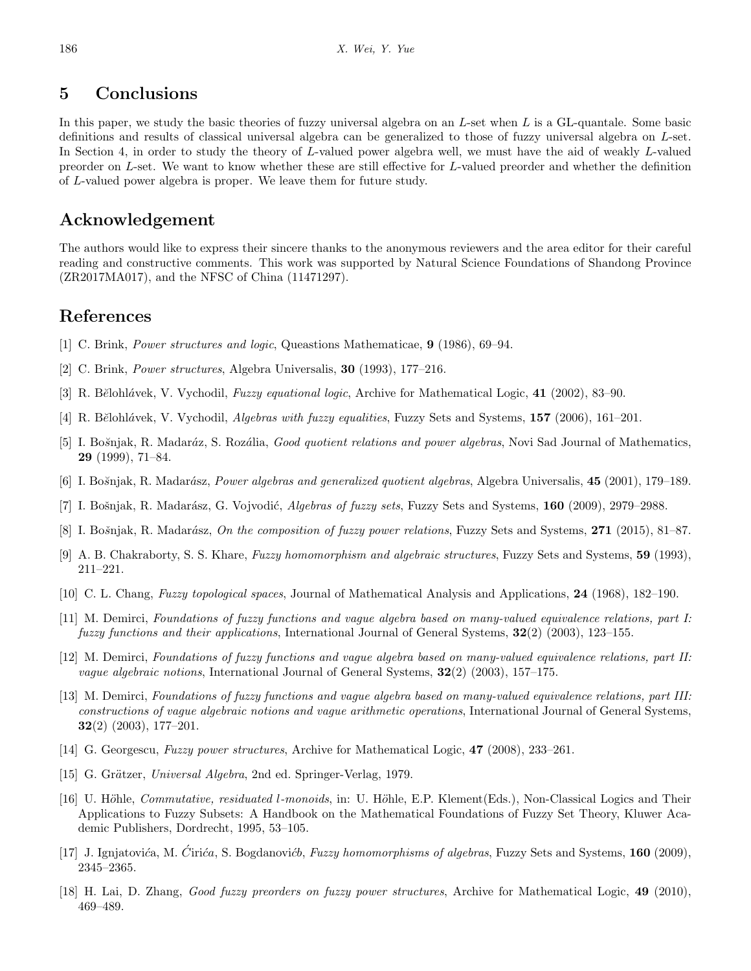### **5 Conclusions**

In this paper, we study the basic theories of fuzzy universal algebra on an *L*-set when *L* is a GL-quantale. Some basic definitions and results of classical universal algebra can be generalized to those of fuzzy universal algebra on *L*-set. In Section 4, in order to study the theory of *L*-valued power algebra well, we must have the aid of weakly *L*-valued preorder on *L*-set. We want to know whether these are still effective for *L*-valued preorder and whether the definition of *L*-valued power algebra is proper. We leave them for future study.

#### **Acknowledgement**

The authors would like to express their sincere thanks to the anonymous reviewers and the area editor for their careful reading and constructive comments. This work was supported by Natural Science Foundations of Shandong Province (ZR2017MA017), and the NFSC of China (11471297).

#### **References**

- <span id="page-11-16"></span>[1] C. Brink, *Power structures and logic*, Queastions Mathematicae, **9** (1986), 69–94.
- <span id="page-11-17"></span>[2] C. Brink, *Power structures*, Algebra Universalis, **30** (1993), 177–216.
- <span id="page-11-12"></span>[3] R. B˘*e*lohl´*a*vek, V. Vychodil, *Fuzzy equational logic*, Archive for Mathematical Logic, **41** (2002), 83–90.
- <span id="page-11-2"></span>[4] R. B˘*e*lohl´*a*vek, V. Vychodil, *Algebras with fuzzy equalities*, Fuzzy Sets and Systems, **157** (2006), 161–201.
- <span id="page-11-3"></span>[5] I. Bo˘*s*njak, R. Madar´*a*z, S. Roz´*a*lia, *Good quotient relations and power algebras*, Novi Sad Journal of Mathematics, **29** (1999), 71–84.
- <span id="page-11-4"></span>[6] I. Bo˘*s*njak, R. Madar´*a*sz, *Power algebras and generalized quotient algebras*, Algebra Universalis, **45** (2001), 179–189.
- <span id="page-11-5"></span>[7] I. Bošnjak, R. Madarász, G. Vojvodić, *Algebras of fuzzy sets*, Fuzzy Sets and Systems, 160 (2009), 2979–2988.
- <span id="page-11-14"></span>[8] I. Boˇ*s*njak, R. Madar´*a*sz, *On the composition of fuzzy power relations*, Fuzzy Sets and Systems, **271** (2015), 81–87.
- <span id="page-11-6"></span>[9] A. B. Chakraborty, S. S. Khare, *Fuzzy homomorphism and algebraic structures*, Fuzzy Sets and Systems, **59** (1993), 211–221.
- <span id="page-11-0"></span>[10] C. L. Chang, *Fuzzy topological spaces*, Journal of Mathematical Analysis and Applications, **24** (1968), 182–190.
- <span id="page-11-10"></span>[11] M. Demirci, *Foundations of fuzzy functions and vague algebra based on many-valued equivalence relations, part I: fuzzy functions and their applications*, International Journal of General Systems, **32**(2) (2003), 123–155.
- <span id="page-11-7"></span>[12] M. Demirci, *Foundations of fuzzy functions and vague algebra based on many-valued equivalence relations, part II: vague algebraic notions*, International Journal of General Systems, **32**(2) (2003), 157–175.
- <span id="page-11-11"></span>[13] M. Demirci, *Foundations of fuzzy functions and vague algebra based on many-valued equivalence relations, part III: constructions of vague algebraic notions and vague arithmetic operations*, International Journal of General Systems, **32**(2) (2003), 177–201.
- <span id="page-11-15"></span>[14] G. Georgescu, *Fuzzy power structures*, Archive for Mathematical Logic, **47** (2008), 233–261.
- <span id="page-11-1"></span>[15] G. Grätzer, *Universal Algebra*, 2nd ed. Springer-Verlag, 1979.
- <span id="page-11-13"></span>[16] U. Höhle, *Commutative, residuated l-monoids*, in: U. Höhle, E.P. Klement(Eds.), Non-Classical Logics and Their Applications to Fuzzy Subsets: A Handbook on the Mathematical Foundations of Fuzzy Set Theory, Kluwer Academic Publishers, Dordrecht, 1995, 53–105.
- <span id="page-11-8"></span>[17] J. Ignjatovića, M. Ćirića, S. Bogdanovićb, *Fuzzy homomorphisms of algebras*, Fuzzy Sets and Systems, 160 (2009), 2345–2365.
- <span id="page-11-9"></span>[18] H. Lai, D. Zhang, *Good fuzzy preorders on fuzzy power structures*, Archive for Mathematical Logic, **49** (2010), 469–489.